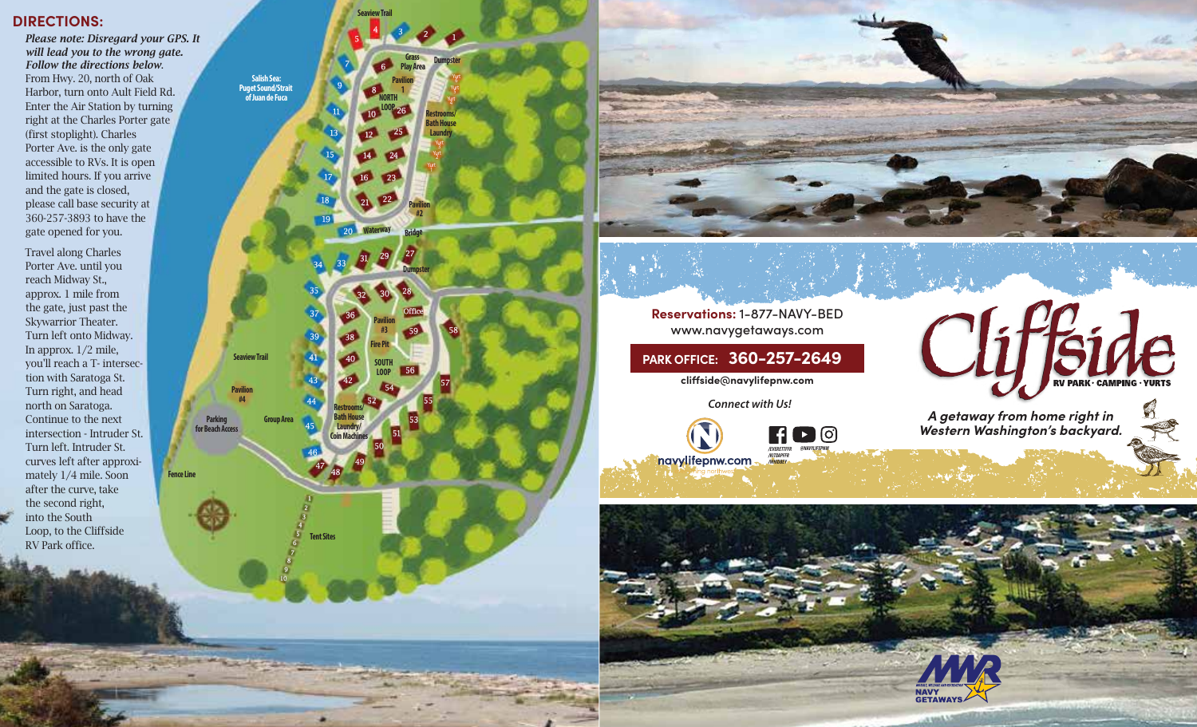#### **DIRECTIONS:**

*Please note: Disregard your GPS. It will lead you to the wrong gate. Follow the directions below* . From Hwy. 20, north of Oak Harbor, turn onto Ault Field Rd. Enter the Air Station by turning right at the Charles Porter gate (first stoplight). Charles Porter Ave. is the only gate accessible to RVs. It is open limited hours. If you arrive and the gate is closed, please call base security at 360-257-3893 to have the gate opened for you.

Travel along Charles Porter Ave. until you reach Midway St., approx. 1 mile from the gate, just past the Skywarrior Theater. Turn left onto Midway. In approx. 1/2 mile, you'll reach a T- intersec tion with Saratoga St. Turn right, and head north on Saratoga. Continue to the next intersection - Intruder St. Turn left. Intruder St. curves left after approxi mately 1/4 mile. Soon after the curve, take the second right, into the South Loop, to the Cliffside RV Park office .



10



**Reservations:** 1-877-NAVY-BED www.navygetaways.com

**PARK OFFICE: 360-257-2649**

**cliside@navylifepnw.com**

*Connect with Us!*



*A getaway from home right in Western Washington's backyard.*